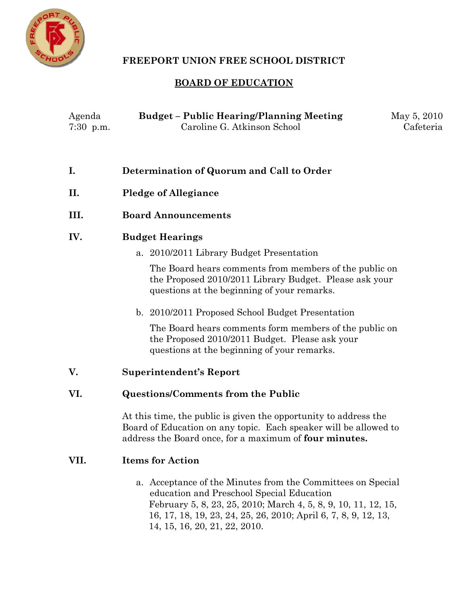

# **FREEPORT UNION FREE SCHOOL DISTRICT**

# **BOARD OF EDUCATION**

| Agenda      | <b>Budget – Public Hearing/Planning Meeting</b> | May 5, 2010 |
|-------------|-------------------------------------------------|-------------|
| $7:30$ p.m. | Caroline G. Atkinson School                     | Cafeteria   |

|  |  | Determination of Quorum and Call to Order |  |  |  |
|--|--|-------------------------------------------|--|--|--|
|--|--|-------------------------------------------|--|--|--|

- **II. Pledge of Allegiance**
- **III. Board Announcements**

## **IV. Budget Hearings**

a. 2010/2011 Library Budget Presentation

The Board hears comments from members of the public on the Proposed 2010/2011 Library Budget. Please ask your questions at the beginning of your remarks.

b. 2010/2011 Proposed School Budget Presentation

The Board hears comments form members of the public on the Proposed 2010/2011 Budget. Please ask your questions at the beginning of your remarks.

### **V. Superintendent's Report**

### **VI. Questions/Comments from the Public**

At this time, the public is given the opportunity to address the Board of Education on any topic. Each speaker will be allowed to address the Board once, for a maximum of **four minutes.**

### **VII. Items for Action**

a. Acceptance of the Minutes from the Committees on Special education and Preschool Special Education February 5, 8, 23, 25, 2010; March 4, 5, 8, 9, 10, 11, 12, 15, 16, 17, 18, 19, 23, 24, 25, 26, 2010; April 6, 7, 8, 9, 12, 13, 14, 15, 16, 20, 21, 22, 2010.